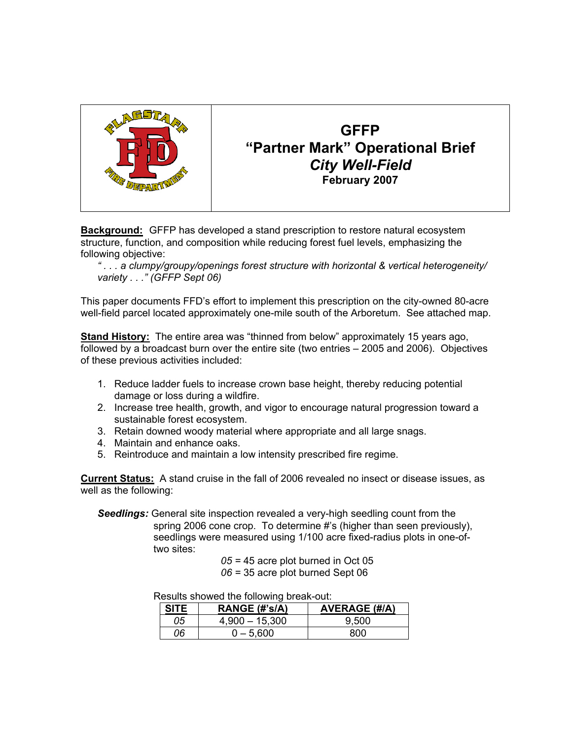

# **GFFP "Partner Mark" Operational Brief** *City Well-Field* **February 2007**

**Background:** GFFP has developed a stand prescription to restore natural ecosystem structure, function, and composition while reducing forest fuel levels, emphasizing the following objective:

*" . . . a clumpy/groupy/openings forest structure with horizontal & vertical heterogeneity/ variety . . ." (GFFP Sept 06)*

This paper documents FFD's effort to implement this prescription on the city-owned 80-acre well-field parcel located approximately one-mile south of the Arboretum. See attached map.

**Stand History:** The entire area was "thinned from below" approximately 15 years ago, followed by a broadcast burn over the entire site (two entries – 2005 and 2006). Objectives of these previous activities included:

- 1. Reduce ladder fuels to increase crown base height, thereby reducing potential damage or loss during a wildfire.
- 2. Increase tree health, growth, and vigor to encourage natural progression toward a sustainable forest ecosystem.
- 3. Retain downed woody material where appropriate and all large snags.
- 4. Maintain and enhance oaks.
- 5. Reintroduce and maintain a low intensity prescribed fire regime.

**Current Status:** A stand cruise in the fall of 2006 revealed no insect or disease issues, as well as the following:

*Seedlings:* General site inspection revealed a very-high seedling count from the spring 2006 cone crop. To determine #'s (higher than seen previously), seedlings were measured using 1/100 acre fixed-radius plots in one-of two sites:

> *05 =* 45 acre plot burned in Oct 05 *06 =* 35 acre plot burned Sept 06

Results showed the following break-out:

| <b>SITE</b> | RANGE (#'s/A)    | <b>AVERAGE (#/A)</b> |
|-------------|------------------|----------------------|
| 05          | $4,900 - 15,300$ | 9.500                |
| 06          | $0 - 5.600$      | 800                  |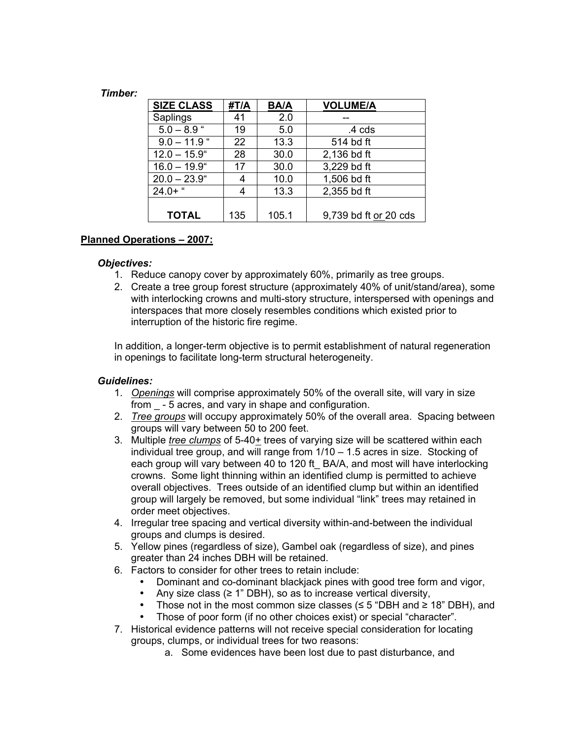#### *Timber:*

| <b>SIZE CLASS</b> | #T/A | <b>BA/A</b> | <b>VOLUME/A</b>       |
|-------------------|------|-------------|-----------------------|
| Saplings          | 41   | 2.0         |                       |
| $5.0 - 8.9$ "     | 19   | 5.0         | .4 cds                |
| $9.0 - 11.9$      | 22   | 13.3        | 514 bd ft             |
| $12.0 - 15.9$ "   | 28   | 30.0        | 2,136 bd ft           |
| $16.0 - 19.9$ "   | 17   | 30.0        | 3,229 bd ft           |
| $20.0 - 23.9$ "   |      | 10.0        | 1,506 bd ft           |
| $24.0+$ "         |      | 13.3        | 2,355 bd ft           |
|                   |      |             |                       |
| <b>TOTAL</b>      | 135  | 105.1       | 9,739 bd ft or 20 cds |

## **Planned Operations – 2007:**

#### *Objectives:*

- 1. Reduce canopy cover by approximately 60%, primarily as tree groups.
- 2. Create a tree group forest structure (approximately 40% of unit/stand/area), some with interlocking crowns and multi-story structure, interspersed with openings and interspaces that more closely resembles conditions which existed prior to interruption of the historic fire regime.

In addition, a longer-term objective is to permit establishment of natural regeneration in openings to facilitate long-term structural heterogeneity.

#### *Guidelines:*

- 1. *Openings* will comprise approximately 50% of the overall site, will vary in size from \_ - 5 acres, and vary in shape and configuration.
- 2. *Tree groups* will occupy approximately 50% of the overall area. Spacing between groups will vary between 50 to 200 feet.
- 3. Multiple *tree clumps* of 5-40+ trees of varying size will be scattered within each individual tree group, and will range from 1/10 – 1.5 acres in size. Stocking of each group will vary between 40 to 120 ft BA/A, and most will have interlocking crowns. Some light thinning within an identified clump is permitted to achieve overall objectives. Trees outside of an identified clump but within an identified group will largely be removed, but some individual "link" trees may retained in order meet objectives.
- 4. Irregular tree spacing and vertical diversity within-and-between the individual groups and clumps is desired.
- 5. Yellow pines (regardless of size), Gambel oak (regardless of size), and pines greater than 24 inches DBH will be retained.
- 6. Factors to consider for other trees to retain include:
	- Dominant and co-dominant blackjack pines with good tree form and vigor,
	- Any size class  $(≥ 1" DBH)$ , so as to increase vertical diversity,
	- Those not in the most common size classes ( $\leq$  5 "DBH and  $\geq$  18" DBH), and
	- Those of poor form (if no other choices exist) or special "character".
- 7. Historical evidence patterns will not receive special consideration for locating groups, clumps, or individual trees for two reasons:
	- a. Some evidences have been lost due to past disturbance, and